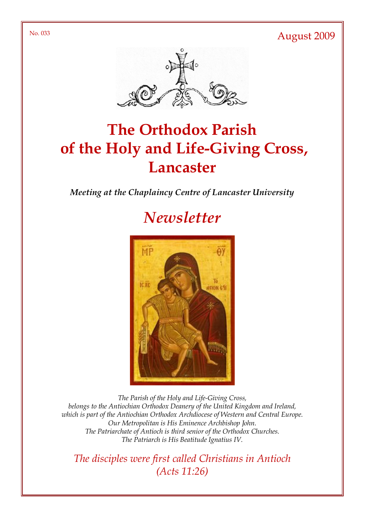No. 033 August 2009



# The Orthodox Parish of the Holy and Life-Giving Cross, **Lancaster**

#### Meeting at the Chaplaincy Centre of Lancaster University

# **Newsletter**



The Parish of the Holy and Life-Giving Cross, belongs to the Antiochian Orthodox Deanery of the United Kingdom and Ireland, which is part of the Antiochian Orthodox Archdiocese of Western and Central Europe. Our Metropolitan is His Eminence Archbishop John. The Patriarchate of Antioch is third senior of the Orthodox Churches. The Patriarch is His Beatitude Ignatius IV.

The disciples were first called Christians in Antioch (Acts 11:26)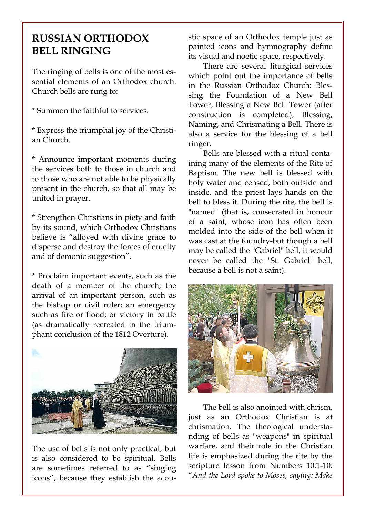## RUSSIAN ORTHODOX BELL RINGING

The ringing of bells is one of the most essential elements of an Orthodox church. Church bells are rung to:

\* Summon the faithful to services.

\* Express the triumphal joy of the Christian Church.

\* Announce important moments during the services both to those in church and to those who are not able to be physically present in the church, so that all may be united in prayer.

\* Strengthen Christians in piety and faith by its sound, which Orthodox Christians believe is "alloyed with divine grace to disperse and destroy the forces of cruelty and of demonic suggestion".

\* Proclaim important events, such as the death of a member of the church; the arrival of an important person, such as the bishop or civil ruler; an emergency such as fire or flood; or victory in battle (as dramatically recreated in the triumphant conclusion of the 1812 Overture).



The use of bells is not only practical, but is also considered to be spiritual. Bells are sometimes referred to as "singing icons", because they establish the acoustic space of an Orthodox temple just as painted icons and hymnography define its visual and noetic space, respectively.

There are several liturgical services which point out the importance of bells in the Russian Orthodox Church: Blessing the Foundation of a New Bell Tower, Blessing a New Bell Tower (after construction is completed), Blessing, Naming, and Chrismating a Bell. There is also a service for the blessing of a bell ringer.

Bells are blessed with a ritual containing many of the elements of the Rite of Baptism. The new bell is blessed with holy water and censed, both outside and inside, and the priest lays hands on the bell to bless it. During the rite, the bell is "named" (that is, consecrated in honour of a saint, whose icon has often been molded into the side of the bell when it was cast at the foundry-but though a bell may be called the "Gabriel" bell, it would never be called the "St. Gabriel" bell, because a bell is not a saint).



The bell is also anointed with chrism, just as an Orthodox Christian is at chrismation. The theological understanding of bells as "weapons" in spiritual warfare, and their role in the Christian life is emphasized during the rite by the scripture lesson from Numbers 10:1-10: "And the Lord spoke to Moses, saying: Make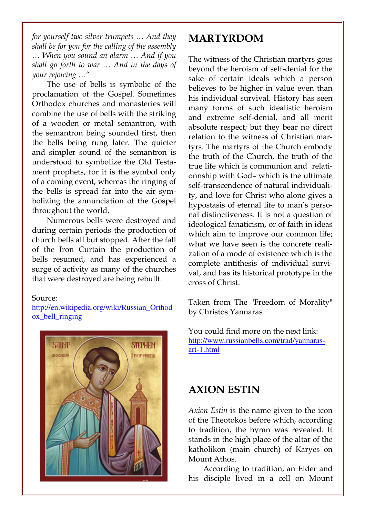for yourself two silver trumpets … And they shall be for you for the calling of the assembly … When you sound an alarm … And if you shall go forth to war … And in the days of your rejoicing …"

The use of bells is symbolic of the proclamation of the Gospel. Sometimes Orthodox churches and monasteries will combine the use of bells with the striking of a wooden or metal semantron, with the semantron being sounded first, then the bells being rung later. The quieter and simpler sound of the semantron is understood to symbolize the Old Testament prophets, for it is the symbol only of a coming event, whereas the ringing of the bells is spread far into the air symbolizing the annunciation of the Gospel throughout the world.

Numerous bells were destroyed and during certain periods the production of church bells all but stopped. After the fall of the Iron Curtain the production of bells resumed, and has experienced a surge of activity as many of the churches that were destroyed are being rebuilt.

#### Source:

http://en.wikipedia.org/wiki/Russian\_Orthod ox\_bell\_ringing



### MARTYRDOM

The witness of the Christian martyrs goes beyond the heroism of self-denial for the sake of certain ideals which a person believes to be higher in value even than his individual survival. History has seen many forms of such idealistic heroism and extreme self-denial, and all merit absolute respect; but they bear no direct relation to the witness of Christian martyrs. The martyrs of the Church embody the truth of the Church, the truth of the true life which is communion and relationnship with God– which is the ultimate self-transcendence of natural individuality, and love for Christ who alone gives a hypostasis of eternal life to man's personal distinctiveness. It is not a question of ideological fanaticism, or of faith in ideas which aim to improve our common life; what we have seen is the concrete realization of a mode of existence which is the complete antithesis of individual survival, and has its historical prototype in the cross of Christ.

Taken from The "Freedom of Morality" by Christos Yannaras

You could find more on the next link: http://www.russianbells.com/trad/yannarasart-1.html

### AXION ESTIN

Axion Estin is the name given to the icon of the Theotokos before which, according to tradition, the hymn was revealed. It stands in the high place of the altar of the katholikon (main church) of Karyes on Mount Athos.

According to tradition, an Elder and his disciple lived in a cell on Mount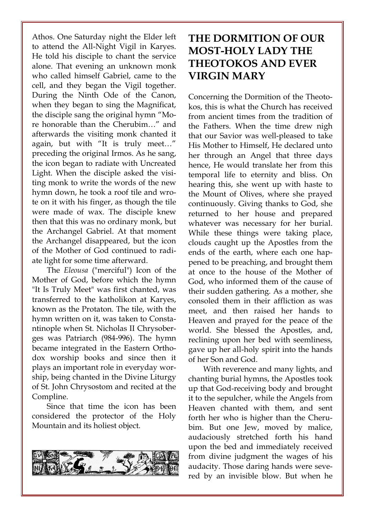Athos. One Saturday night the Elder left to attend the All-Night Vigil in Karyes. He told his disciple to chant the service alone. That evening an unknown monk who called himself Gabriel, came to the cell, and they began the Vigil together. During the Ninth Ode of the Canon, when they began to sing the Magnificat, the disciple sang the original hymn "More honorable than the Cherubim…" and afterwards the visiting monk chanted it again, but with "It is truly meet…" preceding the original Irmos. As he sang, the icon began to radiate with Uncreated Light. When the disciple asked the visiting monk to write the words of the new hymn down, he took a roof tile and wrote on it with his finger, as though the tile were made of wax. The disciple knew then that this was no ordinary monk, but the Archangel Gabriel. At that moment the Archangel disappeared, but the icon of the Mother of God continued to radiate light for some time afterward.

The Eleousa ("merciful") Icon of the Mother of God, before which the hymn "It Is Truly Meet" was first chanted, was transferred to the katholikon at Karyes, known as the Protaton. The tile, with the hymn written on it, was taken to Constantinople when St. Nicholas II Chrysoberges was Patriarch (984-996). The hymn became integrated in the Eastern Orthodox worship books and since then it plays an important role in everyday worship, being chanted in the Divine Liturgy of St. John Chrysostom and recited at the Compline.

Since that time the icon has been considered the protector of the Holy Mountain and its holiest object.



# THE DORMITION OF OUR MOST-HOLY LADY THE THEOTOKOS AND EVER VIRGIN MARY

Concerning the Dormition of the Theotokos, this is what the Church has received from ancient times from the tradition of the Fathers. When the time drew nigh that our Savior was well-pleased to take His Mother to Himself, He declared unto her through an Angel that three days hence, He would translate her from this temporal life to eternity and bliss. On hearing this, she went up with haste to the Mount of Olives, where she prayed continuously. Giving thanks to God, she returned to her house and prepared whatever was necessary for her burial. While these things were taking place, clouds caught up the Apostles from the ends of the earth, where each one happened to be preaching, and brought them at once to the house of the Mother of God, who informed them of the cause of their sudden gathering. As a mother, she consoled them in their affliction as was meet, and then raised her hands to Heaven and prayed for the peace of the world. She blessed the Apostles, and, reclining upon her bed with seemliness, gave up her all-holy spirit into the hands of her Son and God.

With reverence and many lights, and chanting burial hymns, the Apostles took up that God-receiving body and brought it to the sepulcher, while the Angels from Heaven chanted with them, and sent forth her who is higher than the Cherubim. But one Jew, moved by malice, audaciously stretched forth his hand upon the bed and immediately received from divine judgment the wages of his audacity. Those daring hands were severed by an invisible blow. But when he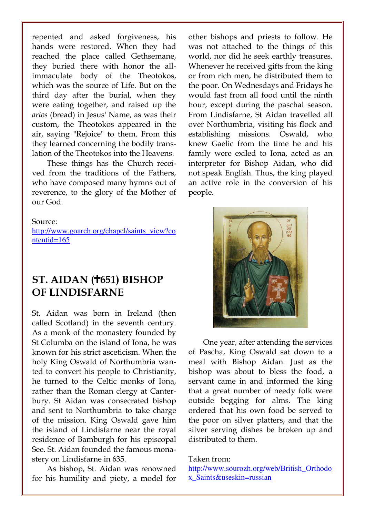repented and asked forgiveness, his hands were restored. When they had reached the place called Gethsemane, they buried there with honor the allimmaculate body of the Theotokos, which was the source of Life. But on the third day after the burial, when they were eating together, and raised up the artos (bread) in Jesus' Name, as was their custom, the Theotokos appeared in the air, saying "Rejoice" to them. From this they learned concerning the bodily translation of the Theotokos into the Heavens.

These things has the Church received from the traditions of the Fathers, who have composed many hymns out of reverence, to the glory of the Mother of our God.

#### Source:

http://www.goarch.org/chapel/saints\_view?co ntentid=165

### $ST.$  AIDAN ( $\ddagger$ 651) BISHOP OF LINDISFARNE

St. Aidan was born in Ireland (then called Scotland) in the seventh century. As a monk of the monastery founded by St Columba on the island of Iona, he was known for his strict asceticism. When the holy King Oswald of Northumbria wanted to convert his people to Christianity, he turned to the Celtic monks of Iona, rather than the Roman clergy at Canterbury. St Aidan was consecrated bishop and sent to Northumbria to take charge of the mission. King Oswald gave him the island of Lindisfarne near the royal residence of Bamburgh for his episcopal See. St. Aidan founded the famous monastery on Lindisfarne in 635.

As bishop, St. Aidan was renowned for his humility and piety, a model for

other bishops and priests to follow. He was not attached to the things of this world, nor did he seek earthly treasures. Whenever he received gifts from the king or from rich men, he distributed them to the poor. On Wednesdays and Fridays he would fast from all food until the ninth hour, except during the paschal season. From Lindisfarne, St Aidan travelled all over Northumbria, visiting his flock and establishing missions. Oswald, who knew Gaelic from the time he and his family were exiled to Iona, acted as an interpreter for Bishop Aidan, who did not speak English. Thus, the king played an active role in the conversion of his people.



One year, after attending the services of Pascha, King Oswald sat down to a meal with Bishop Aidan. Just as the bishop was about to bless the food, a servant came in and informed the king that a great number of needy folk were outside begging for alms. The king ordered that his own food be served to the poor on silver platters, and that the silver serving dishes be broken up and distributed to them.

#### Taken from:

http://www.sourozh.org/web/British\_Orthodo x\_Saints&useskin=russian